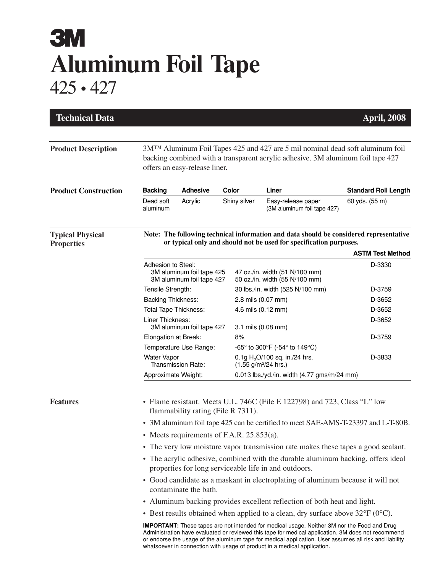## **3M Aluminum Foil Tape** 425 • 427

| <b>Technical Data</b>                        |                                                                                                                                                                                                                |                  |  |                                             |                                                                        | <b>April, 2008</b>          |  |
|----------------------------------------------|----------------------------------------------------------------------------------------------------------------------------------------------------------------------------------------------------------------|------------------|--|---------------------------------------------|------------------------------------------------------------------------|-----------------------------|--|
| <b>Product Description</b>                   | 3M <sup>TM</sup> Aluminum Foil Tapes 425 and 427 are 5 mil nominal dead soft aluminum foil<br>backing combined with a transparent acrylic adhesive. 3M aluminum foil tape 427<br>offers an easy-release liner. |                  |  |                                             |                                                                        |                             |  |
| <b>Product Construction</b>                  | <b>Adhesive</b><br><b>Backing</b>                                                                                                                                                                              |                  |  | <b>Color</b><br>Liner                       |                                                                        | <b>Standard Roll Length</b> |  |
|                                              | Dead soft<br>aluminum                                                                                                                                                                                          | Acrylic          |  | Shiny silver                                | Easy-release paper<br>(3M aluminum foil tape 427)                      | 60 yds. (55 m)              |  |
| <b>Typical Physical</b><br><b>Properties</b> | Note: The following technical information and data should be considered representative<br>or typical only and should not be used for specification purposes.<br><b>ASTM Test Method</b>                        |                  |  |                                             |                                                                        |                             |  |
|                                              | Adhesion to Steel:                                                                                                                                                                                             |                  |  |                                             |                                                                        |                             |  |
|                                              | 3M aluminum foil tape 425<br>3M aluminum foil tape 427                                                                                                                                                         |                  |  |                                             | 47 oz./in. width (51 N/100 mm)<br>50 oz./in. width (55 N/100 mm)       | D-3330                      |  |
|                                              | Tensile Strength:                                                                                                                                                                                              |                  |  |                                             | 30 lbs./in. width (525 N/100 mm)                                       | D-3759                      |  |
|                                              | <b>Backing Thickness:</b>                                                                                                                                                                                      |                  |  |                                             | 2.8 mils (0.07 mm)                                                     | D-3652                      |  |
|                                              | <b>Total Tape Thickness:</b>                                                                                                                                                                                   |                  |  |                                             | 4.6 mils (0.12 mm)                                                     | D-3652                      |  |
|                                              |                                                                                                                                                                                                                | Liner Thickness: |  |                                             | 3.1 mils (0.08 mm)                                                     | D-3652                      |  |
|                                              | 3M aluminum foil tape 427<br>Elongation at Break:                                                                                                                                                              |                  |  | 8%                                          |                                                                        | D-3759                      |  |
|                                              | Temperature Use Range:                                                                                                                                                                                         |                  |  |                                             | -65° to 300°F (-54° to 149°C)                                          |                             |  |
|                                              | <b>Water Vapor</b><br><b>Transmission Rate:</b>                                                                                                                                                                |                  |  |                                             | 0.1g $H_2$ O/100 sq. in./24 hrs.<br>$(1.55$ g/m <sup>2</sup> /24 hrs.) | D-3833                      |  |
|                                              | Approximate Weight:                                                                                                                                                                                            |                  |  | 0.013 lbs./yd./in. width (4.77 gms/m/24 mm) |                                                                        |                             |  |
| <b>Features</b>                              | • Flame resistant. Meets U.L. 746C (File E 122798) and 723, Class "L" low<br>flammability rating (File R 7311).                                                                                                |                  |  |                                             |                                                                        |                             |  |
|                                              | • 3M aluminum foil tape 425 can be certified to meet SAE-AMS-T-23397 and L-T-80B.                                                                                                                              |                  |  |                                             |                                                                        |                             |  |
|                                              | • Meets requirements of F.A.R. $25.853(a)$ .                                                                                                                                                                   |                  |  |                                             |                                                                        |                             |  |
|                                              | • The very low moisture vapor transmission rate makes these tapes a good sealant.                                                                                                                              |                  |  |                                             |                                                                        |                             |  |
|                                              | • The acrylic adhesive, combined with the durable aluminum backing, offers ideal<br>properties for long serviceable life in and outdoors.                                                                      |                  |  |                                             |                                                                        |                             |  |
|                                              | • Good candidate as a maskant in electroplating of aluminum because it will not<br>contaminate the bath.                                                                                                       |                  |  |                                             |                                                                        |                             |  |
|                                              | • Aluminum backing provides excellent reflection of both heat and light.                                                                                                                                       |                  |  |                                             |                                                                        |                             |  |
|                                              | • Best results obtained when applied to a clean, dry surface above $32^{\circ}F(0^{\circ}C)$ .                                                                                                                 |                  |  |                                             |                                                                        |                             |  |
|                                              | <b>IMPORTANT:</b> These tapes are not intended for medical usage. Neither 3M nor the Food and Drug<br>Administration have evaluated arreviewed this tape for modical application. 2M does not recommend        |                  |  |                                             |                                                                        |                             |  |

Administration have evaluated or reviewed this tape for medical application. 3M does not recommend or endorse the usage of the aluminum tape for medical application. User assumes all risk and liability whatsoever in connection with usage of product in a medical application.